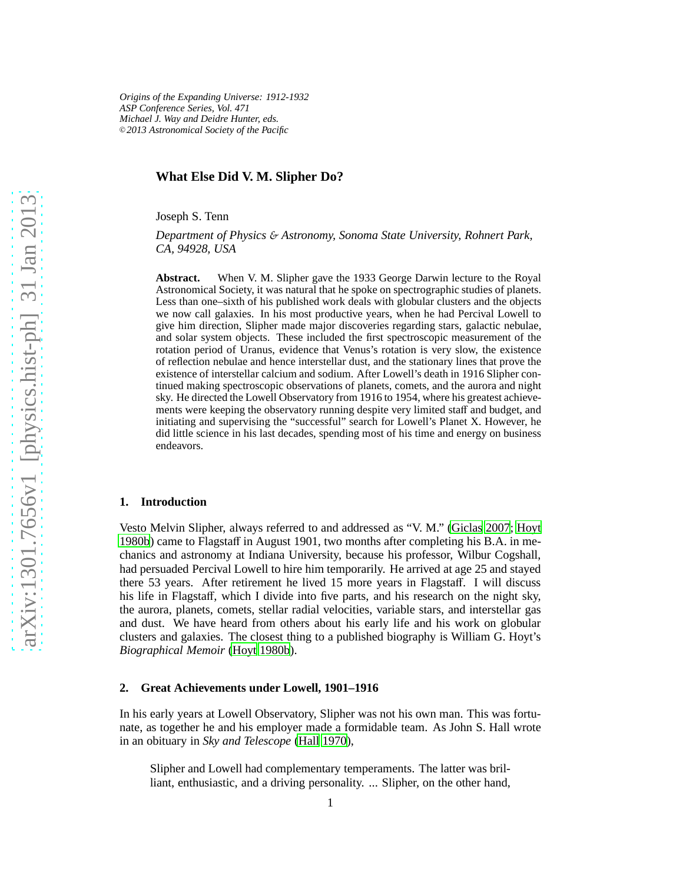*Origins of the Expanding Universe: 1912-1932 ASP Conference Series, Vol. 471 Michael J. Way and Deidre Hunter, eds.* <sup>c</sup> *2013 Astronomical Society of the Pacific*

### **What Else Did V. M. Slipher Do?**

Joseph S. Tenn

*Department of Physics* & *Astronomy, Sonoma State University, Rohnert Park, CA, 94928, USA*

**Abstract.** When V. M. Slipher gave the 1933 George Darwin lecture to the Royal Astronomical Society, it was natural that he spoke on spectrographic studies of planets. Less than one–sixth of his published work deals with globular clusters and the objects we now call galaxies. In his most productive years, when he had Percival Lowell to give him direction, Slipher made major discoveries regarding stars, galactic nebulae, and solar system objects. These included the first spectroscopic measurement of the rotation period of Uranus, evidence that Venus's rotation is very slow, the existence of reflection nebulae and hence interstellar dust, and the stationary lines that prove the existence of interstellar calcium and sodium. After Lowell's death in 1916 Slipher continued making spectroscopic observations of planets, comets, and the aurora and night sky. He directed the Lowell Observatory from 1916 to 1954, where his greatest achievements were keeping the observatory running despite very limited staff and budget, and initiating and supervising the "successful" search for Lowell's Planet X. However, he did little science in his last decades, spending most of his time and energy on business endeavors.

### **1. Introduction**

Vesto Melvin Slipher, always referred to and addressed as "V. M." [\(Giclas 2007](#page-12-0); [Hoyt](#page-12-1) [1980b](#page-12-1)) came to Flagstaff in August 1901, two months after completing his B.A. in mechanics and astronomy at Indiana University, because his professor, Wilbur Cogshall, had persuaded Percival Lowell to hire him temporarily. He arrived at age 25 and stayed there 53 years. After retirement he lived 15 more years in Flagstaff. I will discuss his life in Flagstaff, which I divide into five parts, and his research on the night sky, the aurora, planets, comets, stellar radial velocities, variable stars, and interstellar gas and dust. We have heard from others about his early life and his work on globular clusters and galaxies. The closest thing to a published biography is William G. Hoyt's *Biographical Memoir* [\(Hoyt 1980b](#page-12-1)).

#### **2. Great Achievements under Lowell, 1901–1916**

In his early years at Lowell Observatory, Slipher was not his own man. This was fortunate, as together he and his employer made a formidable team. As John S. Hall wrote in an obituary in *Sky and Telescope* [\(Hall 1970](#page-12-2)),

Slipher and Lowell had complementary temperaments. The latter was brilliant, enthusiastic, and a driving personality. ... Slipher, on the other hand,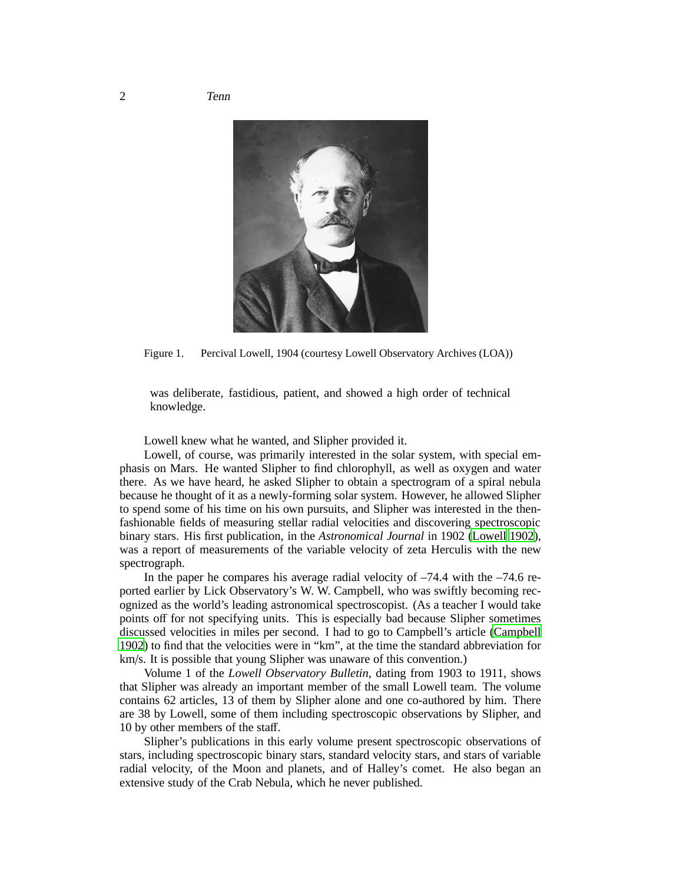

Figure 1. Percival Lowell, 1904 (courtesy Lowell Observatory Archives (LOA))

was deliberate, fastidious, patient, and showed a high order of technical knowledge.

Lowell knew what he wanted, and Slipher provided it.

Lowell, of course, was primarily interested in the solar system, with special emphasis on Mars. He wanted Slipher to find chlorophyll, as well as oxygen and water there. As we have heard, he asked Slipher to obtain a spectrogram of a spiral nebula because he thought of it as a newly-forming solar system. However, he allowed Slipher to spend some of his time on his own pursuits, and Slipher was interested in the thenfashionable fields of measuring stellar radial velocities and discovering spectroscopic binary stars. His first publication, in the *Astronomical Journal* in 1902 [\(Lowell 1902\)](#page-12-3), was a report of measurements of the variable velocity of zeta Herculis with the new spectrograph.

In the paper he compares his average radial velocity of –74.4 with the –74.6 reported earlier by Lick Observatory's W. W. Campbell, who was swiftly becoming recognized as the world's leading astronomical spectroscopist. (As a teacher I would take points off for not specifying units. This is especially bad because Slipher sometimes discussed velocities in miles per second. I had to go to Campbell's article [\(Campbell](#page-12-4) [1902](#page-12-4)) to find that the velocities were in "km", at the time the standard abbreviation for km/s. It is possible that young Slipher was unaware of this convention.)

Volume 1 of the *Lowell Observatory Bulletin*, dating from 1903 to 1911, shows that Slipher was already an important member of the small Lowell team. The volume contains 62 articles, 13 of them by Slipher alone and one co-authored by him. There are 38 by Lowell, some of them including spectroscopic observations by Slipher, and 10 by other members of the staff.

Slipher's publications in this early volume present spectroscopic observations of stars, including spectroscopic binary stars, standard velocity stars, and stars of variable radial velocity, of the Moon and planets, and of Halley's comet. He also began an extensive study of the Crab Nebula, which he never published.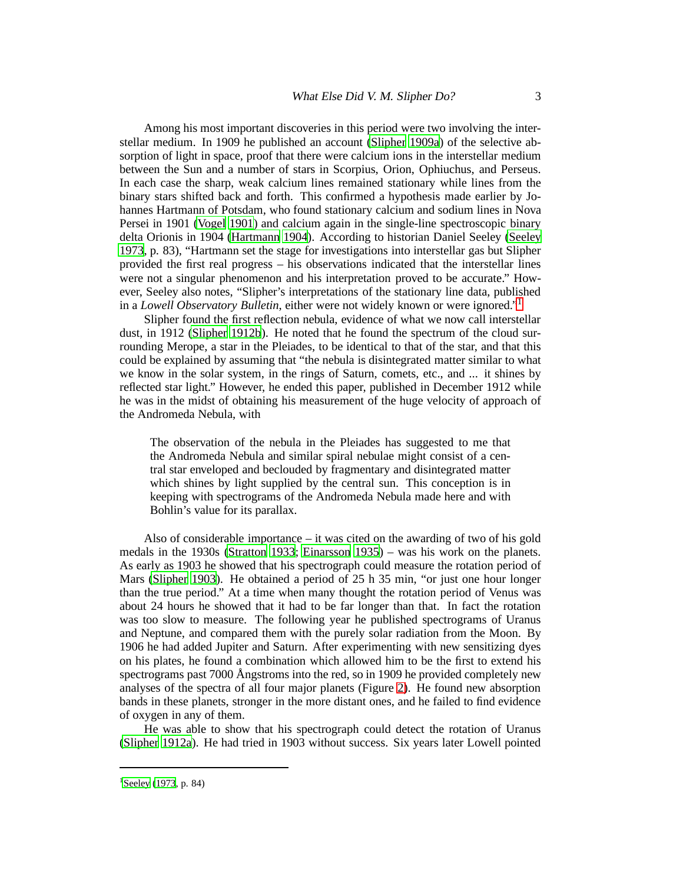Among his most important discoveries in this period were two involving the interstellar medium. In 1909 he published an account [\(Slipher 1909a](#page-13-0)) of the selective absorption of light in space, proof that there were calcium ions in the interstellar medium between the Sun and a number of stars in Scorpius, Orion, Ophiuchus, and Perseus. In each case the sharp, weak calcium lines remained stationary while lines from the binary stars shifted back and forth. This confirmed a hypothesis made earlier by Johannes Hartmann of Potsdam, who found stationary calcium and sodium lines in Nova Persei in 1901 [\(Vogel 1901](#page-13-1)) and calcium again in the single-line spectroscopic binary delta Orionis in 1904 [\(Hartmann 1904\)](#page-12-5). According to historian Daniel Seeley [\(Seeley](#page-13-2) [1973](#page-13-2), p. 83), "Hartmann set the stage for investigations into interstellar gas but Slipher provided the first real progress – his observations indicated that the interstellar lines were not a singular phenomenon and his interpretation proved to be accurate." However, Seeley also notes, "Slipher's interpretations of the stationary line data, published in a *Lowell Observatory Bulletin*, either were not widely known or were ignored."[1](#page-2-0)

Slipher found the first reflection nebula, evidence of what we now call interstellar dust, in 1912 [\(Slipher 1912b](#page-13-3)). He noted that he found the spectrum of the cloud surrounding Merope, a star in the Pleiades, to be identical to that of the star, and that this could be explained by assuming that "the nebula is disintegrated matter similar to what we know in the solar system, in the rings of Saturn, comets, etc., and ... it shines by reflected star light." However, he ended this paper, published in December 1912 while he was in the midst of obtaining his measurement of the huge velocity of approach of the Andromeda Nebula, with

The observation of the nebula in the Pleiades has suggested to me that the Andromeda Nebula and similar spiral nebulae might consist of a central star enveloped and beclouded by fragmentary and disintegrated matter which shines by light supplied by the central sun. This conception is in keeping with spectrograms of the Andromeda Nebula made here and with Bohlin's value for its parallax.

Also of considerable importance – it was cited on the awarding of two of his gold medals in the 1930s [\(Stratton 1933;](#page-13-4) [Einarsson 1935](#page-12-6)) – was his work on the planets. As early as 1903 he showed that his spectrograph could measure the rotation period of Mars [\(Slipher 1903\)](#page-13-5). He obtained a period of 25 h 35 min, "or just one hour longer than the true period." At a time when many thought the rotation period of Venus was about 24 hours he showed that it had to be far longer than that. In fact the rotation was too slow to measure. The following year he published spectrograms of Uranus and Neptune, and compared them with the purely solar radiation from the Moon. By 1906 he had added Jupiter and Saturn. After experimenting with new sensitizing dyes on his plates, he found a combination which allowed him to be the first to extend his spectrograms past 7000 Ångstroms into the red, so in 1909 he provided completely new analyses of the spectra of all four major planets (Figure [2\)](#page-3-0). He found new absorption bands in these planets, stronger in the more distant ones, and he failed to find evidence of oxygen in any of them.

He was able to show that his spectrograph could detect the rotation of Uranus [\(Slipher 1912a](#page-13-6)). He had tried in 1903 without success. Six years later Lowell pointed

<span id="page-2-0"></span><sup>&</sup>lt;sup>1</sup>[Seeley \(1973,](#page-13-2) p. 84)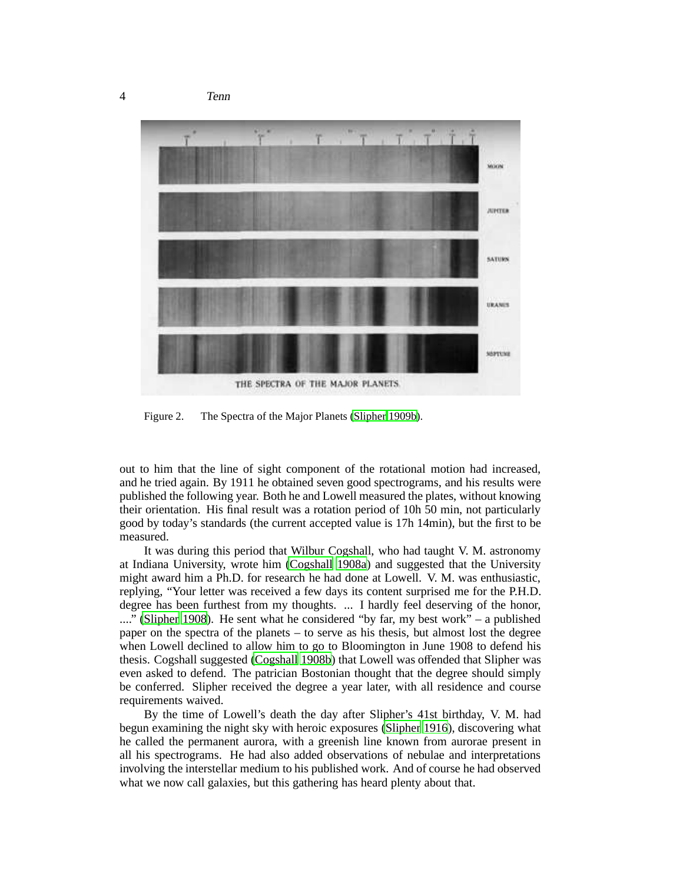

<span id="page-3-0"></span>Figure 2. The Spectra of the Major Planets [\(Slipher 1909b\)](#page-13-7).

out to him that the line of sight component of the rotational motion had increased, and he tried again. By 1911 he obtained seven good spectrograms, and his results were published the following year. Both he and Lowell measured the plates, without knowing their orientation. His final result was a rotation period of 10h 50 min, not particularly good by today's standards (the current accepted value is 17h 14min), but the first to be measured.

It was during this period that Wilbur Cogshall, who had taught V. M. astronomy at Indiana University, wrote him [\(Cogshall 1908a\)](#page-12-7) and suggested that the University might award him a Ph.D. for research he had done at Lowell. V. M. was enthusiastic, replying, "Your letter was received a few days its content surprised me for the P.H.D. degree has been furthest from my thoughts. ... I hardly feel deserving of the honor, ...." [\(Slipher 1908](#page-13-8)). He sent what he considered "by far, my best work" – a published paper on the spectra of the planets – to serve as his thesis, but almost lost the degree when Lowell declined to allow him to go to Bloomington in June 1908 to defend his thesis. Cogshall suggested [\(Cogshall 1908b](#page-12-8)) that Lowell was offended that Slipher was even asked to defend. The patrician Bostonian thought that the degree should simply be conferred. Slipher received the degree a year later, with all residence and course requirements waived.

By the time of Lowell's death the day after Slipher's 41st birthday, V. M. had begun examining the night sky with heroic exposures [\(Slipher 1916\)](#page-13-9), discovering what he called the permanent aurora, with a greenish line known from aurorae present in all his spectrograms. He had also added observations of nebulae and interpretations involving the interstellar medium to his published work. And of course he had observed what we now call galaxies, but this gathering has heard plenty about that.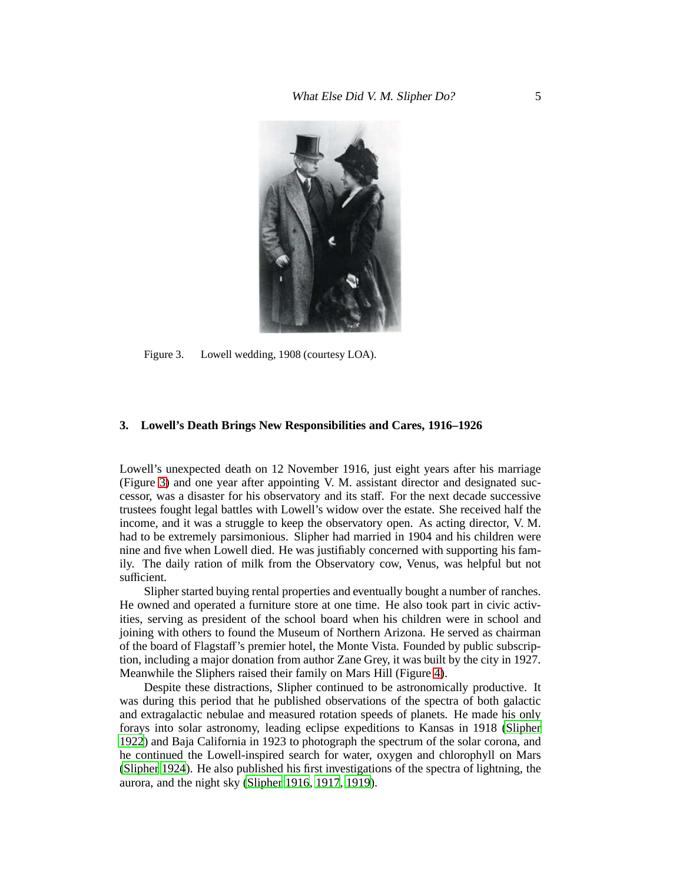

Figure 3. Lowell wedding, 1908 (courtesy LOA).

# <span id="page-4-0"></span>**3. Lowell's Death Brings New Responsibilities and Cares, 1916–1926**

Lowell's unexpected death on 12 November 1916, just eight years after his marriage (Figure [3\)](#page-4-0) and one year after appointing V. M. assistant director and designated successor, was a disaster for his observatory and its staff. For the next decade successive trustees fought legal battles with Lowell's widow over the estate. She received half the income, and it was a struggle to keep the observatory open. As acting director, V. M. had to be extremely parsimonious. Slipher had married in 1904 and his children were nine and five when Lowell died. He was justifiably concerned with supporting his family. The daily ration of milk from the Observatory cow, Venus, was helpful but not sufficient.

Slipher started buying rental properties and eventually bought a number of ranches. He owned and operated a furniture store at one time. He also took part in civic activities, serving as president of the school board when his children were in school and joining with others to found the Museum of Northern Arizona. He served as chairman of the board of Flagstaff's premier hotel, the Monte Vista. Founded by public subscription, including a major donation from author Zane Grey, it was built by the city in 1927. Meanwhile the Sliphers raised their family on Mars Hill (Figure [4\)](#page-5-0).

Despite these distractions, Slipher continued to be astronomically productive. It was during this period that he published observations of the spectra of both galactic and extragalactic nebulae and measured rotation speeds of planets. He made his only forays into solar astronomy, leading eclipse expeditions to Kansas in 1918 [\(Slipher](#page-13-10) [1922](#page-13-10)) and Baja California in 1923 to photograph the spectrum of the solar corona, and he continued the Lowell-inspired search for water, oxygen and chlorophyll on Mars [\(Slipher 1924\)](#page-13-11). He also published his first investigations of the spectra of lightning, the aurora, and the night sky [\(Slipher 1916](#page-13-9), [1917,](#page-13-12) [1919](#page-13-13)).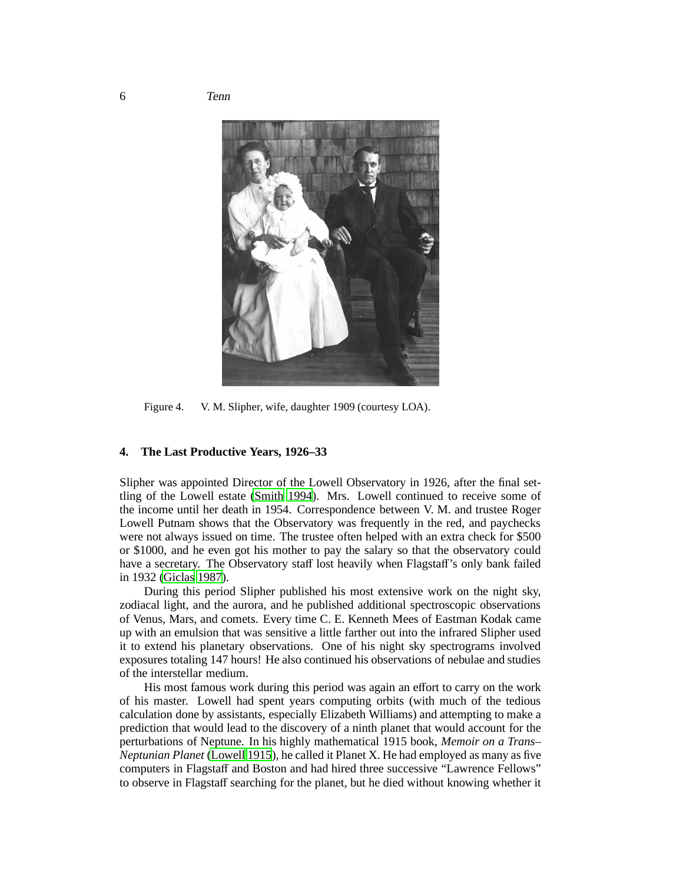

Figure 4. V. M. Slipher, wife, daughter 1909 (courtesy LOA).

# <span id="page-5-0"></span>**4. The Last Productive Years, 1926–33**

Slipher was appointed Director of the Lowell Observatory in 1926, after the final settling of the Lowell estate [\(Smith 1994](#page-13-14)). Mrs. Lowell continued to receive some of the income until her death in 1954. Correspondence between V. M. and trustee Roger Lowell Putnam shows that the Observatory was frequently in the red, and paychecks were not always issued on time. The trustee often helped with an extra check for \$500 or \$1000, and he even got his mother to pay the salary so that the observatory could have a secretary. The Observatory staff lost heavily when Flagstaff's only bank failed in 1932 [\(Giclas 1987](#page-12-9)).

During this period Slipher published his most extensive work on the night sky, zodiacal light, and the aurora, and he published additional spectroscopic observations of Venus, Mars, and comets. Every time C. E. Kenneth Mees of Eastman Kodak came up with an emulsion that was sensitive a little farther out into the infrared Slipher used it to extend his planetary observations. One of his night sky spectrograms involved exposures totaling 147 hours! He also continued his observations of nebulae and studies of the interstellar medium.

His most famous work during this period was again an effort to carry on the work of his master. Lowell had spent years computing orbits (with much of the tedious calculation done by assistants, especially Elizabeth Williams) and attempting to make a prediction that would lead to the discovery of a ninth planet that would account for the perturbations of Neptune. In his highly mathematical 1915 book, *Memoir on a Trans– Neptunian Planet* [\(Lowell 1915\)](#page-12-10), he called it Planet X. He had employed as many as five computers in Flagstaff and Boston and had hired three successive "Lawrence Fellows" to observe in Flagstaff searching for the planet, but he died without knowing whether it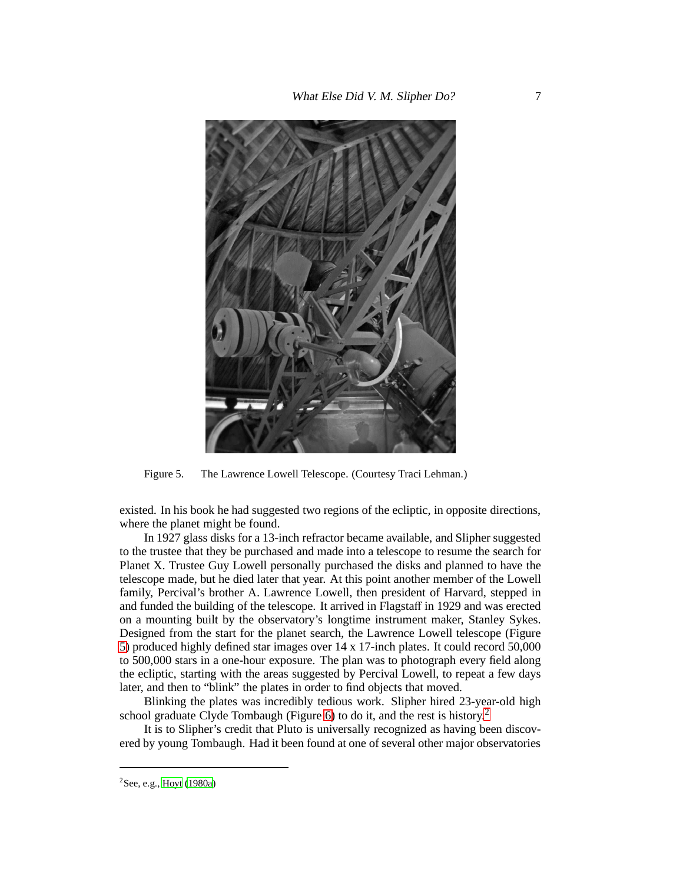

Figure 5. The Lawrence Lowell Telescope. (Courtesy Traci Lehman.)

<span id="page-6-0"></span>existed. In his book he had suggested two regions of the ecliptic, in opposite directions, where the planet might be found.

In 1927 glass disks for a 13-inch refractor became available, and Slipher suggested to the trustee that they be purchased and made into a telescope to resume the search for Planet X. Trustee Guy Lowell personally purchased the disks and planned to have the telescope made, but he died later that year. At this point another member of the Lowell family, Percival's brother A. Lawrence Lowell, then president of Harvard, stepped in and funded the building of the telescope. It arrived in Flagstaff in 1929 and was erected on a mounting built by the observatory's longtime instrument maker, Stanley Sykes. Designed from the start for the planet search, the Lawrence Lowell telescope (Figure [5\)](#page-6-0) produced highly defined star images over 14 x 17-inch plates. It could record 50,000 to 500,000 stars in a one-hour exposure. The plan was to photograph every field along the ecliptic, starting with the areas suggested by Percival Lowell, to repeat a few days later, and then to "blink" the plates in order to find objects that moved.

Blinking the plates was incredibly tedious work. Slipher hired 23-year-old high school graduate Clyde Tombaugh (Figure [6\)](#page-7-0) to do it, and the rest is history.<sup>[2](#page-6-1)</sup>

It is to Slipher's credit that Pluto is universally recognized as having been discovered by young Tombaugh. Had it been found at one of several other major observatories

<span id="page-6-1"></span><sup>2</sup>See, e.g., [Hoyt](#page-12-11) [\(1980a](#page-12-11))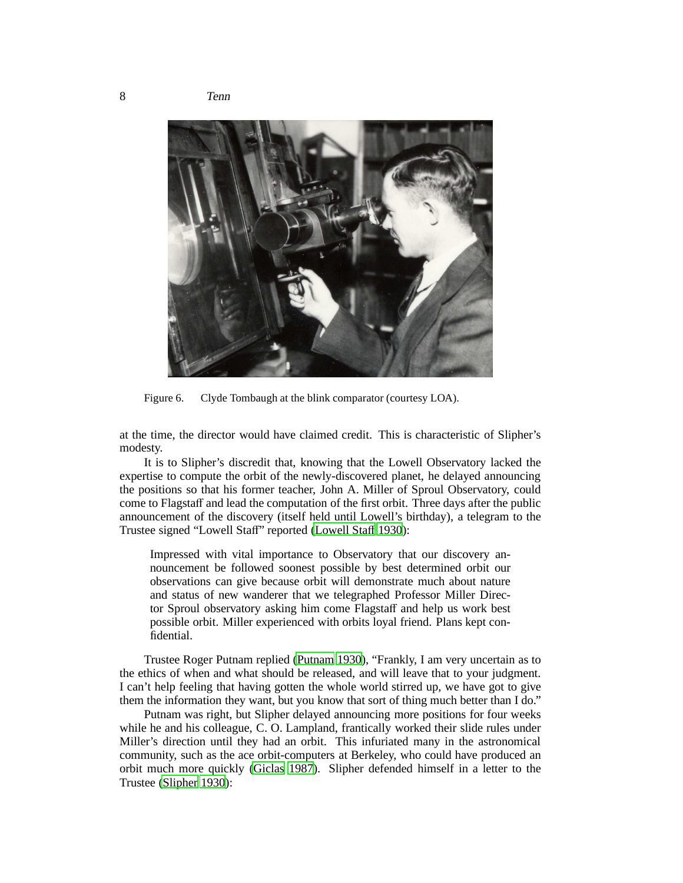

Figure 6. Clyde Tombaugh at the blink comparator (courtesy LOA).

<span id="page-7-0"></span>at the time, the director would have claimed credit. This is characteristic of Slipher's modesty.

It is to Slipher's discredit that, knowing that the Lowell Observatory lacked the expertise to compute the orbit of the newly-discovered planet, he delayed announcing the positions so that his former teacher, John A. Miller of Sproul Observatory, could come to Flagstaff and lead the computation of the first orbit. Three days after the public announcement of the discovery (itself held until Lowell's birthday), a telegram to the Trustee signed "Lowell Staff" reported [\(Lowell Sta](#page-13-15)ff [1930\)](#page-13-15):

Impressed with vital importance to Observatory that our discovery announcement be followed soonest possible by best determined orbit our observations can give because orbit will demonstrate much about nature and status of new wanderer that we telegraphed Professor Miller Director Sproul observatory asking him come Flagstaff and help us work best possible orbit. Miller experienced with orbits loyal friend. Plans kept confidential.

Trustee Roger Putnam replied [\(Putnam 1930](#page-13-16)), "Frankly, I am very uncertain as to the ethics of when and what should be released, and will leave that to your judgment. I can't help feeling that having gotten the whole world stirred up, we have got to give them the information they want, but you know that sort of thing much better than I do."

Putnam was right, but Slipher delayed announcing more positions for four weeks while he and his colleague, C. O. Lampland, frantically worked their slide rules under Miller's direction until they had an orbit. This infuriated many in the astronomical community, such as the ace orbit-computers at Berkeley, who could have produced an orbit much more quickly [\(Giclas 1987](#page-12-9)). Slipher defended himself in a letter to the Trustee [\(Slipher 1930](#page-13-17)):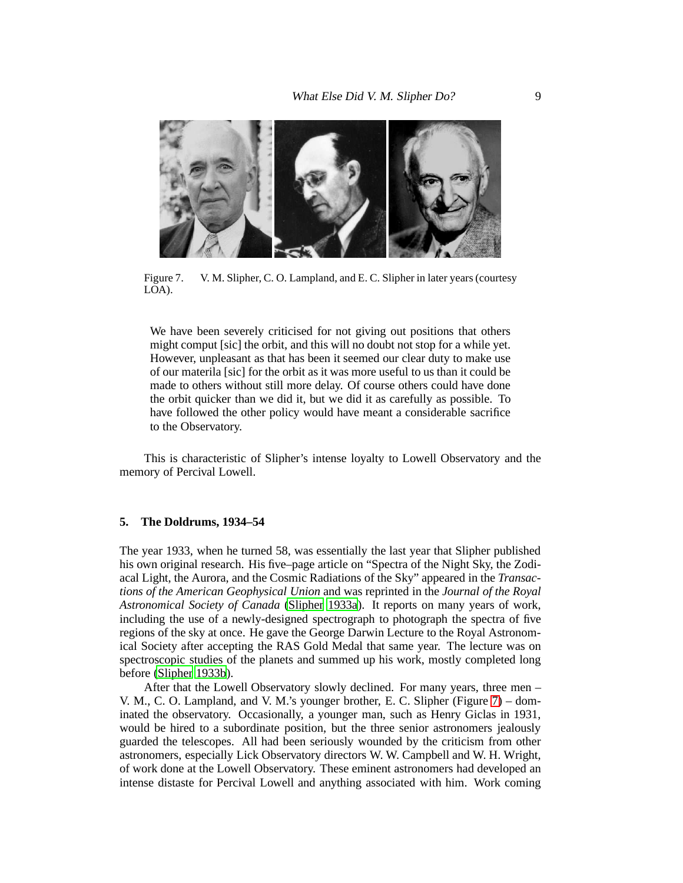

Figure 7. V. M. Slipher, C. O. Lampland, and E. C. Slipher in later years (courtesy LOA).

<span id="page-8-0"></span>We have been severely criticised for not giving out positions that others might comput [sic] the orbit, and this will no doubt not stop for a while yet. However, unpleasant as that has been it seemed our clear duty to make use of our materila [sic] for the orbit as it was more useful to us than it could be made to others without still more delay. Of course others could have done the orbit quicker than we did it, but we did it as carefully as possible. To have followed the other policy would have meant a considerable sacrifice to the Observatory.

This is characteristic of Slipher's intense loyalty to Lowell Observatory and the memory of Percival Lowell.

# **5. The Doldrums, 1934–54**

The year 1933, when he turned 58, was essentially the last year that Slipher published his own original research. His five–page article on "Spectra of the Night Sky, the Zodiacal Light, the Aurora, and the Cosmic Radiations of the Sky" appeared in the *Transactions of the American Geophysical Union* and was reprinted in the *Journal of the Royal Astronomical Society of Canada* [\(Slipher 1933a\)](#page-13-18). It reports on many years of work, including the use of a newly-designed spectrograph to photograph the spectra of five regions of the sky at once. He gave the George Darwin Lecture to the Royal Astronomical Society after accepting the RAS Gold Medal that same year. The lecture was on spectroscopic studies of the planets and summed up his work, mostly completed long before [\(Slipher 1933b](#page-13-19)).

After that the Lowell Observatory slowly declined. For many years, three men – V. M., C. O. Lampland, and V. M.'s younger brother, E. C. Slipher (Figure [7\)](#page-8-0) – dominated the observatory. Occasionally, a younger man, such as Henry Giclas in 1931, would be hired to a subordinate position, but the three senior astronomers jealously guarded the telescopes. All had been seriously wounded by the criticism from other astronomers, especially Lick Observatory directors W. W. Campbell and W. H. Wright, of work done at the Lowell Observatory. These eminent astronomers had developed an intense distaste for Percival Lowell and anything associated with him. Work coming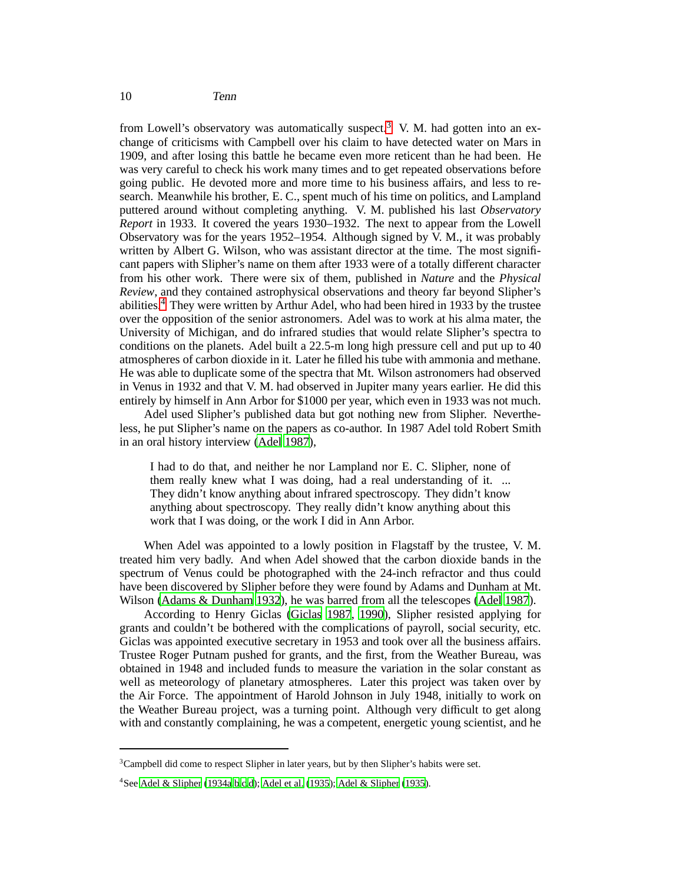from Lowell's observatory was automatically suspect.<sup>[3](#page-9-0)</sup> V. M. had gotten into an exchange of criticisms with Campbell over his claim to have detected water on Mars in 1909, and after losing this battle he became even more reticent than he had been. He was very careful to check his work many times and to get repeated observations before going public. He devoted more and more time to his business affairs, and less to research. Meanwhile his brother, E. C., spent much of his time on politics, and Lampland puttered around without completing anything. V. M. published his last *Observatory Report* in 1933. It covered the years 1930–1932. The next to appear from the Lowell Observatory was for the years 1952–1954. Although signed by V. M., it was probably written by Albert G. Wilson, who was assistant director at the time. The most significant papers with Slipher's name on them after 1933 were of a totally different character from his other work. There were six of them, published in *Nature* and the *Physical Review*, and they contained astrophysical observations and theory far beyond Slipher's abilities.[4](#page-9-1) They were written by Arthur Adel, who had been hired in 1933 by the trustee over the opposition of the senior astronomers. Adel was to work at his alma mater, the University of Michigan, and do infrared studies that would relate Slipher's spectra to conditions on the planets. Adel built a 22.5-m long high pressure cell and put up to 40 atmospheres of carbon dioxide in it. Later he filled his tube with ammonia and methane. He was able to duplicate some of the spectra that Mt. Wilson astronomers had observed in Venus in 1932 and that V. M. had observed in Jupiter many years earlier. He did this entirely by himself in Ann Arbor for \$1000 per year, which even in 1933 was not much.

Adel used Slipher's published data but got nothing new from Slipher. Nevertheless, he put Slipher's name on the papers as co-author. In 1987 Adel told Robert Smith in an oral history interview [\(Adel 1987](#page-12-12)),

I had to do that, and neither he nor Lampland nor E. C. Slipher, none of them really knew what I was doing, had a real understanding of it. ... They didn't know anything about infrared spectroscopy. They didn't know anything about spectroscopy. They really didn't know anything about this work that I was doing, or the work I did in Ann Arbor.

When Adel was appointed to a lowly position in Flagstaff by the trustee, V. M. treated him very badly. And when Adel showed that the carbon dioxide bands in the spectrum of Venus could be photographed with the 24-inch refractor and thus could have been discovered by Slipher before they were found by Adams and Dunham at Mt. Wilson [\(Adams & Dunham 1932\)](#page-12-13), he was barred from all the telescopes [\(Adel 1987](#page-12-12)).

According to Henry Giclas [\(Giclas 1987](#page-12-9), [1990](#page-12-14)), Slipher resisted applying for grants and couldn't be bothered with the complications of payroll, social security, etc. Giclas was appointed executive secretary in 1953 and took over all the business affairs. Trustee Roger Putnam pushed for grants, and the first, from the Weather Bureau, was obtained in 1948 and included funds to measure the variation in the solar constant as well as meteorology of planetary atmospheres. Later this project was taken over by the Air Force. The appointment of Harold Johnson in July 1948, initially to work on the Weather Bureau project, was a turning point. Although very difficult to get along with and constantly complaining, he was a competent, energetic young scientist, and he

<sup>&</sup>lt;sup>3</sup>Campbell did come to respect Slipher in later years, but by then Slipher's habits were set.

<span id="page-9-1"></span><span id="page-9-0"></span><sup>4</sup>See [Adel & Slipher \(1934a](#page-12-15)[,b](#page-12-16)[,c](#page-12-17)[,d\)](#page-12-18); [Adel et al.](#page-12-19) [\(1935](#page-12-19)); [Adel & Slipher \(1935](#page-12-20)).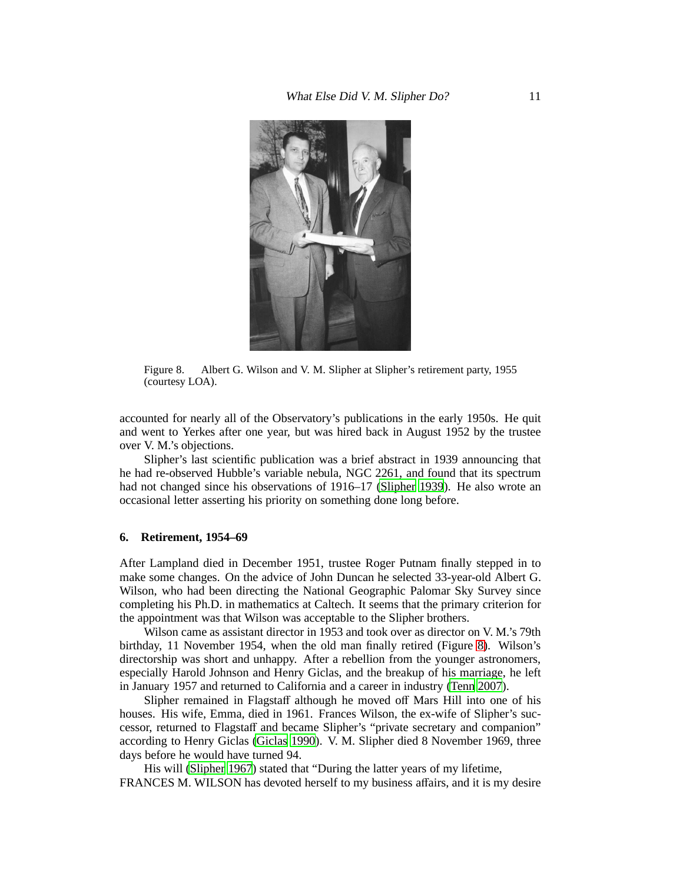

Figure 8. Albert G. Wilson and V. M. Slipher at Slipher's retirement party, 1955 (courtesy LOA).

<span id="page-10-0"></span>accounted for nearly all of the Observatory's publications in the early 1950s. He quit and went to Yerkes after one year, but was hired back in August 1952 by the trustee over V. M.'s objections.

Slipher's last scientific publication was a brief abstract in 1939 announcing that he had re-observed Hubble's variable nebula, NGC 2261, and found that its spectrum had not changed since his observations of 1916–17 [\(Slipher 1939](#page-13-20)). He also wrote an occasional letter asserting his priority on something done long before.

# **6. Retirement, 1954–69**

After Lampland died in December 1951, trustee Roger Putnam finally stepped in to make some changes. On the advice of John Duncan he selected 33-year-old Albert G. Wilson, who had been directing the National Geographic Palomar Sky Survey since completing his Ph.D. in mathematics at Caltech. It seems that the primary criterion for the appointment was that Wilson was acceptable to the Slipher brothers.

Wilson came as assistant director in 1953 and took over as director on V. M.'s 79th birthday, 11 November 1954, when the old man finally retired (Figure [8\)](#page-10-0). Wilson's directorship was short and unhappy. After a rebellion from the younger astronomers, especially Harold Johnson and Henry Giclas, and the breakup of his marriage, he left in January 1957 and returned to California and a career in industry [\(Tenn 2007](#page-13-21)).

Slipher remained in Flagstaff although he moved off Mars Hill into one of his houses. His wife, Emma, died in 1961. Frances Wilson, the ex-wife of Slipher's successor, returned to Flagstaff and became Slipher's "private secretary and companion" according to Henry Giclas [\(Giclas 1990\)](#page-12-14). V. M. Slipher died 8 November 1969, three days before he would have turned 94.

His will [\(Slipher 1967](#page-13-22)) stated that "During the latter years of my lifetime, FRANCES M. WILSON has devoted herself to my business affairs, and it is my desire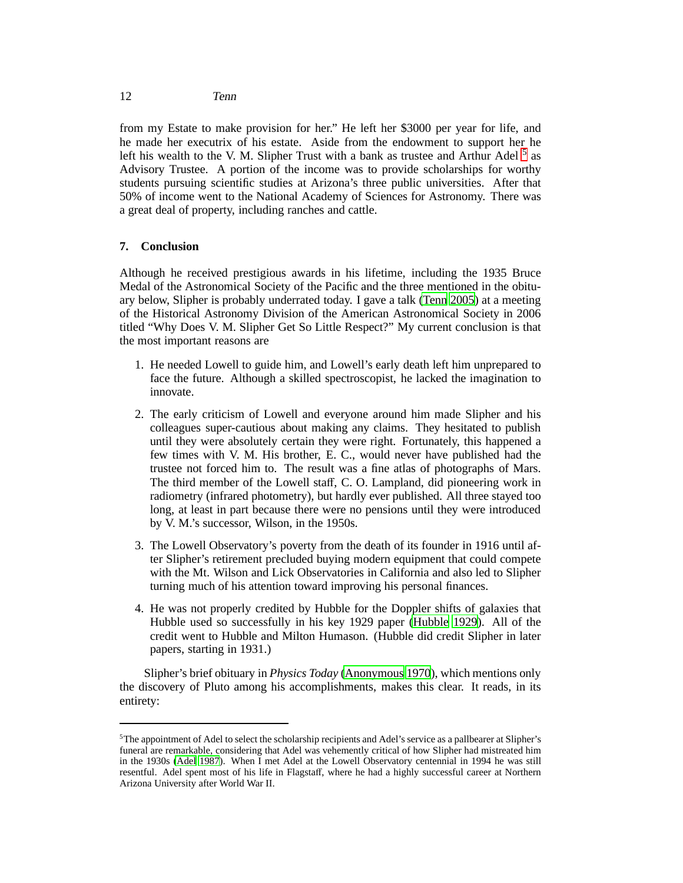from my Estate to make provision for her." He left her \$3000 per year for life, and he made her executrix of his estate. Aside from the endowment to support her he left his wealth to the V. M. Slipher Trust with a bank as trustee and Arthur Adel<sup>[5](#page-11-0)</sup> as Advisory Trustee. A portion of the income was to provide scholarships for worthy students pursuing scientific studies at Arizona's three public universities. After that 50% of income went to the National Academy of Sciences for Astronomy. There was a great deal of property, including ranches and cattle.

# **7. Conclusion**

Although he received prestigious awards in his lifetime, including the 1935 Bruce Medal of the Astronomical Society of the Pacific and the three mentioned in the obituary below, Slipher is probably underrated today. I gave a talk [\(Tenn 2005](#page-13-23)) at a meeting of the Historical Astronomy Division of the American Astronomical Society in 2006 titled "Why Does V. M. Slipher Get So Little Respect?" My current conclusion is that the most important reasons are

- 1. He needed Lowell to guide him, and Lowell's early death left him unprepared to face the future. Although a skilled spectroscopist, he lacked the imagination to innovate.
- 2. The early criticism of Lowell and everyone around him made Slipher and his colleagues super-cautious about making any claims. They hesitated to publish until they were absolutely certain they were right. Fortunately, this happened a few times with V. M. His brother, E. C., would never have published had the trustee not forced him to. The result was a fine atlas of photographs of Mars. The third member of the Lowell staff, C. O. Lampland, did pioneering work in radiometry (infrared photometry), but hardly ever published. All three stayed too long, at least in part because there were no pensions until they were introduced by V. M.'s successor, Wilson, in the 1950s.
- 3. The Lowell Observatory's poverty from the death of its founder in 1916 until after Slipher's retirement precluded buying modern equipment that could compete with the Mt. Wilson and Lick Observatories in California and also led to Slipher turning much of his attention toward improving his personal finances.
- 4. He was not properly credited by Hubble for the Doppler shifts of galaxies that Hubble used so successfully in his key 1929 paper [\(Hubble 1929](#page-12-21)). All of the credit went to Hubble and Milton Humason. (Hubble did credit Slipher in later papers, starting in 1931.)

Slipher's brief obituary in *Physics Today* [\(Anonymous 1970](#page-12-22)), which mentions only the discovery of Pluto among his accomplishments, makes this clear. It reads, in its entirety:

<span id="page-11-0"></span><sup>5</sup>The appointment of Adel to select the scholarship recipients and Adel's service as a pallbearer at Slipher's funeral are remarkable, considering that Adel was vehemently critical of how Slipher had mistreated him in the 1930s [\(Adel 1987\)](#page-12-12). When I met Adel at the Lowell Observatory centennial in 1994 he was still resentful. Adel spent most of his life in Flagstaff, where he had a highly successful career at Northern Arizona University after World War II.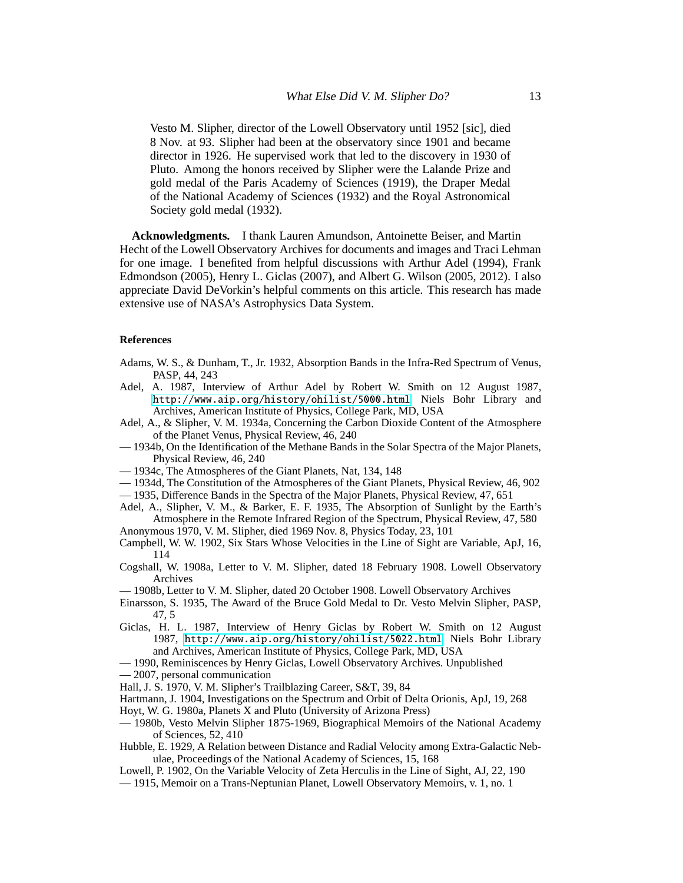Vesto M. Slipher, director of the Lowell Observatory until 1952 [sic], died 8 Nov. at 93. Slipher had been at the observatory since 1901 and became director in 1926. He supervised work that led to the discovery in 1930 of Pluto. Among the honors received by Slipher were the Lalande Prize and gold medal of the Paris Academy of Sciences (1919), the Draper Medal of the National Academy of Sciences (1932) and the Royal Astronomical Society gold medal (1932).

**Acknowledgments.** I thank Lauren Amundson, Antoinette Beiser, and Martin Hecht of the Lowell Observatory Archives for documents and images and Traci Lehman for one image. I benefited from helpful discussions with Arthur Adel (1994), Frank Edmondson (2005), Henry L. Giclas (2007), and Albert G. Wilson (2005, 2012). I also appreciate David DeVorkin's helpful comments on this article. This research has made extensive use of NASA's Astrophysics Data System.

#### **References**

- <span id="page-12-13"></span>Adams, W. S., & Dunham, T., Jr. 1932, Absorption Bands in the Infra-Red Spectrum of Venus, PASP, 44, 243
- <span id="page-12-12"></span>Adel, A. 1987, Interview of Arthur Adel by Robert W. Smith on 12 August 1987, <http://www.aip.org/history/ohilist/5000.html>. Niels Bohr Library and Archives, American Institute of Physics, College Park, MD, USA
- <span id="page-12-15"></span>Adel, A., & Slipher, V. M. 1934a, Concerning the Carbon Dioxide Content of the Atmosphere of the Planet Venus, Physical Review, 46, 240
- <span id="page-12-16"></span>— 1934b, On the Identification of the Methane Bands in the Solar Spectra of the Major Planets, Physical Review, 46, 240
- <span id="page-12-17"></span>— 1934c, The Atmospheres of the Giant Planets, Nat, 134, 148
- <span id="page-12-18"></span>— 1934d, The Constitution of the Atmospheres of the Giant Planets, Physical Review, 46, 902
- <span id="page-12-20"></span>— 1935, Difference Bands in the Spectra of the Major Planets, Physical Review, 47, 651
- <span id="page-12-19"></span>Adel, A., Slipher, V. M., & Barker, E. F. 1935, The Absorption of Sunlight by the Earth's Atmosphere in the Remote Infrared Region of the Spectrum, Physical Review, 47, 580
- <span id="page-12-22"></span>Anonymous 1970, V. M. Slipher, died 1969 Nov. 8, Physics Today, 23, 101
- <span id="page-12-4"></span>Campbell, W. W. 1902, Six Stars Whose Velocities in the Line of Sight are Variable, ApJ, 16, 114
- <span id="page-12-7"></span>Cogshall, W. 1908a, Letter to V. M. Slipher, dated 18 February 1908. Lowell Observatory Archives

<span id="page-12-8"></span>— 1908b, Letter to V. M. Slipher, dated 20 October 1908. Lowell Observatory Archives

- <span id="page-12-6"></span>Einarsson, S. 1935, The Award of the Bruce Gold Medal to Dr. Vesto Melvin Slipher, PASP, 47, 5
- <span id="page-12-9"></span>Giclas, H. L. 1987, Interview of Henry Giclas by Robert W. Smith on 12 August 1987, <http://www.aip.org/history/ohilist/5022.html>. Niels Bohr Library and Archives, American Institute of Physics, College Park, MD, USA
- <span id="page-12-14"></span>— 1990, Reminiscences by Henry Giclas, Lowell Observatory Archives. Unpublished
- <span id="page-12-0"></span>— 2007, personal communication

<span id="page-12-2"></span>Hall, J. S. 1970, V. M. Slipher's Trailblazing Career, S&T, 39, 84

- <span id="page-12-5"></span>Hartmann, J. 1904, Investigations on the Spectrum and Orbit of Delta Orionis, ApJ, 19, 268
- <span id="page-12-11"></span>Hoyt, W. G. 1980a, Planets X and Pluto (University of Arizona Press)
- <span id="page-12-1"></span>— 1980b, Vesto Melvin Slipher 1875-1969, Biographical Memoirs of the National Academy of Sciences, 52, 410
- <span id="page-12-21"></span>Hubble, E. 1929, A Relation between Distance and Radial Velocity among Extra-Galactic Nebulae, Proceedings of the National Academy of Sciences, 15, 168
- <span id="page-12-3"></span>Lowell, P. 1902, On the Variable Velocity of Zeta Herculis in the Line of Sight, AJ, 22, 190
- <span id="page-12-10"></span>— 1915, Memoir on a Trans-Neptunian Planet, Lowell Observatory Memoirs, v. 1, no. 1